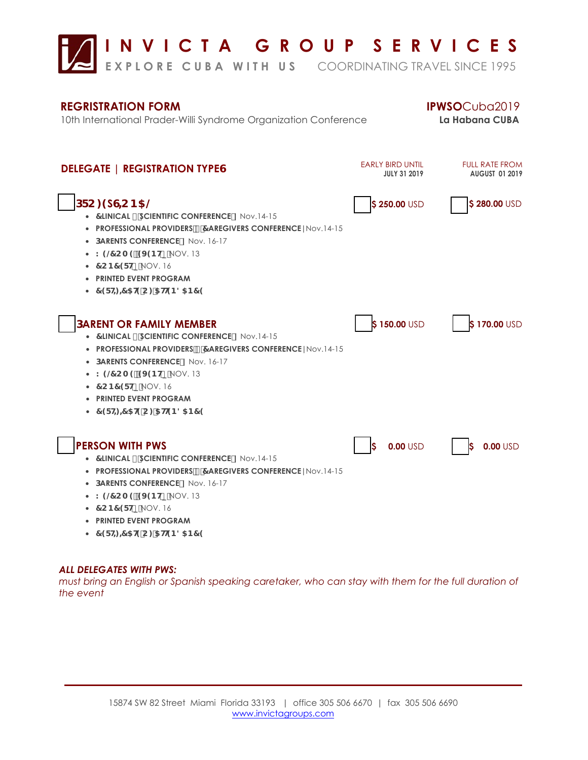

## **REGRISTRATION FORM IPWSO**Cuba2019

10th International Prader-Willi Syndrome Organization Conference **La Habana CUBA**



# *ALL DELEGATES WITH PWS:*

*must bring an English or Spanish speaking caretaker, who can stay with them for the full duration of the event*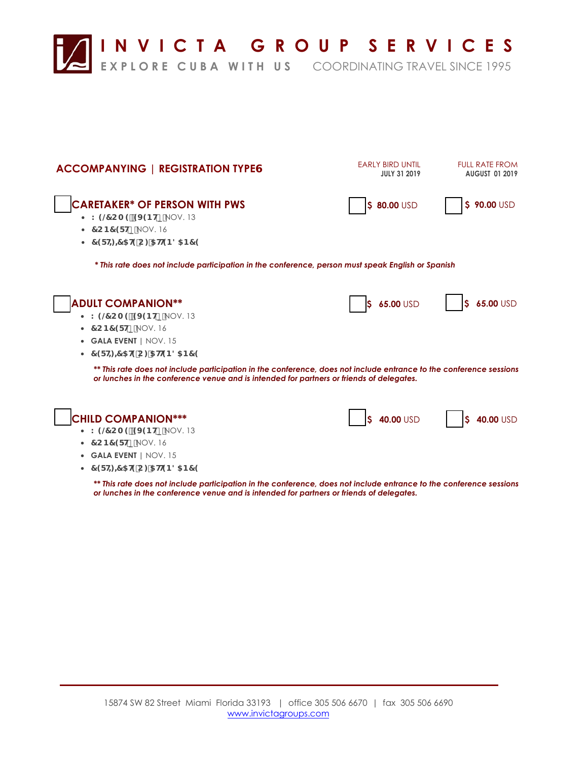

| <b>ACCOMPANYING   REGISTRATION TYPEG</b>                                                                                                                                                                        | <b>EARLY BIRD UNTIL</b><br><b>JULY 31 2019</b> | <b>FULL RATE FROM</b><br><b>AUGUST 01 2019</b> |
|-----------------------------------------------------------------------------------------------------------------------------------------------------------------------------------------------------------------|------------------------------------------------|------------------------------------------------|
| <b>CARETAKER* OF PERSON WITH PWS</b><br>• K 9@ CA 9 9J 9BHp NOV. 13<br>• $7CB7$ $F$ Hp $NOV. 16$                                                                                                                | \$ 80.00 USD                                   | \$ 90.00 USD                                   |
| • 79FH $\neq$ 5H9C: 5H9B85B79                                                                                                                                                                                   |                                                |                                                |
| * This rate does not include participation in the conference, person must speak English or Spanish                                                                                                              |                                                |                                                |
| <b>ADULT COMPANION**</b>                                                                                                                                                                                        | 65.00 USD                                      | 65.00 USD                                      |
| • K 9@ CA 9 9J 9BHp NOV. 13<br>$\bullet$ 7 CB7 9FHp NOV. 16                                                                                                                                                     |                                                |                                                |
| • GALA EVENT   NOV. 15                                                                                                                                                                                          |                                                |                                                |
| • 79FH $\neq$ 5H9C: 5H9B85B79                                                                                                                                                                                   |                                                |                                                |
| ** This rate does not include participation in the conference, does not include entrance to the conference sessions<br>or lunches in the conference venue and is intended for partners or friends of delegates. |                                                |                                                |
| <b>CHILD COMPANION***</b>                                                                                                                                                                                       | \$ 40.00 USD                                   | 40.00 USD<br>S                                 |
| • K 9@ CA 9 9J 9BHp NOV. 13                                                                                                                                                                                     |                                                |                                                |
| $\bullet$ 7 CB7 9FHp NOV. 16<br>• GALA EVENT   NOV. 15                                                                                                                                                          |                                                |                                                |
| • $79FH = 75H9C$ : 5HBB85B79                                                                                                                                                                                    |                                                |                                                |
| ** This rate does not include participation in the conference, does not include entrance to the conference sessions<br>or lunches in the conference venue and is intended for partners or friends of delegates. |                                                |                                                |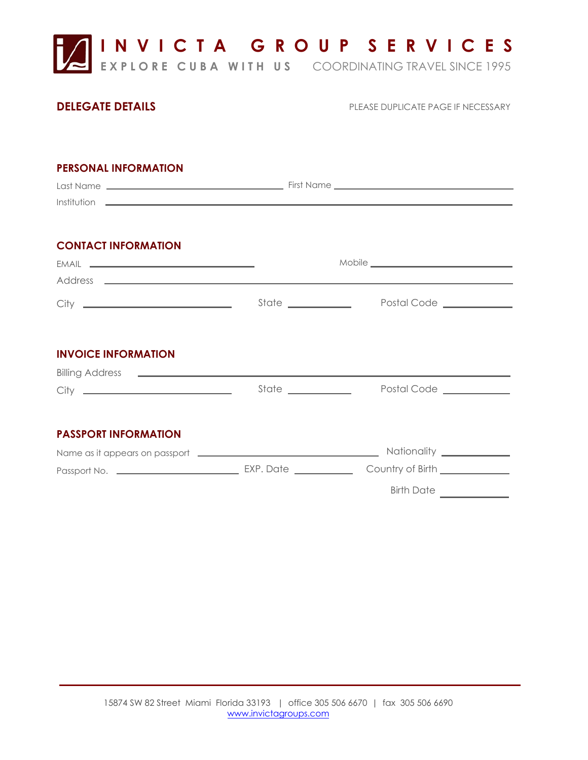

## **DELEGATE DETAILS**

PLEASE DUPLICATE PAGE IF NECESSARY

| <b>PERSONAL INFORMATION</b>                                                                                      |  |                                                |  |
|------------------------------------------------------------------------------------------------------------------|--|------------------------------------------------|--|
| <b>CONTACT INFORMATION</b>                                                                                       |  |                                                |  |
|                                                                                                                  |  | State _______________ Postal Code ____________ |  |
| <b>INVOICE INFORMATION</b><br>Billing Address <b>Constanting Address Constanting Address Constanting Address</b> |  |                                                |  |
|                                                                                                                  |  | Postal Code ____________                       |  |
| <b>PASSPORT INFORMATION</b>                                                                                      |  |                                                |  |
|                                                                                                                  |  | Birth Date                                     |  |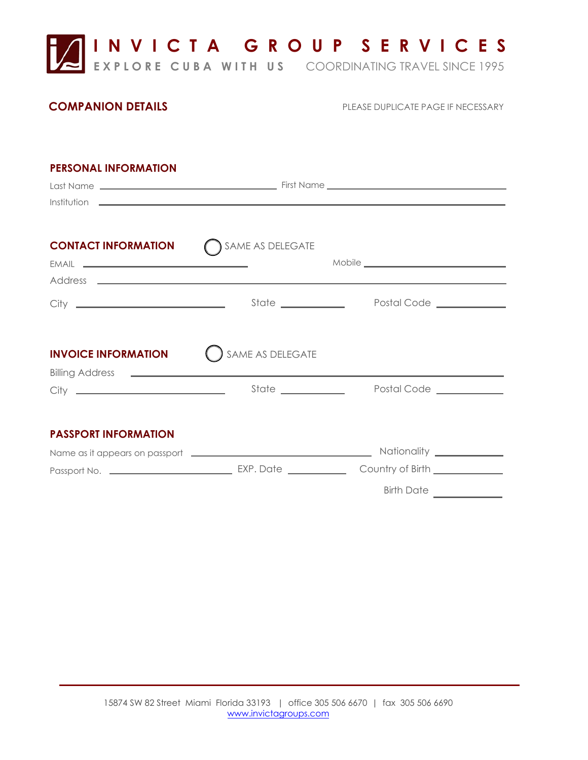

## **COMPANION DETAILS**

PLEASE DUPLICATE PAGE IF NECESSARY

## **PERSONAL INFORMATION**

|                             | Last Name Louis Communication of First Name Louis Communication of the Communication of the Communication of the Communication of the Communication of the Communication of the Communication of the Communication of the Comm<br><u> Institution —————————————————————————————————</u> |                                  |  |
|-----------------------------|-----------------------------------------------------------------------------------------------------------------------------------------------------------------------------------------------------------------------------------------------------------------------------------------|----------------------------------|--|
| <b>CONTACT INFORMATION</b>  | SAME AS DELEGATE                                                                                                                                                                                                                                                                        |                                  |  |
|                             |                                                                                                                                                                                                                                                                                         | State Postal Code Communications |  |
| <b>INVOICE INFORMATION</b>  | SAME AS DELEGATE                                                                                                                                                                                                                                                                        |                                  |  |
|                             | State ____________                                                                                                                                                                                                                                                                      | Postal Code __________           |  |
| <b>PASSPORT INFORMATION</b> |                                                                                                                                                                                                                                                                                         |                                  |  |
|                             |                                                                                                                                                                                                                                                                                         |                                  |  |
|                             |                                                                                                                                                                                                                                                                                         | Birth Date                       |  |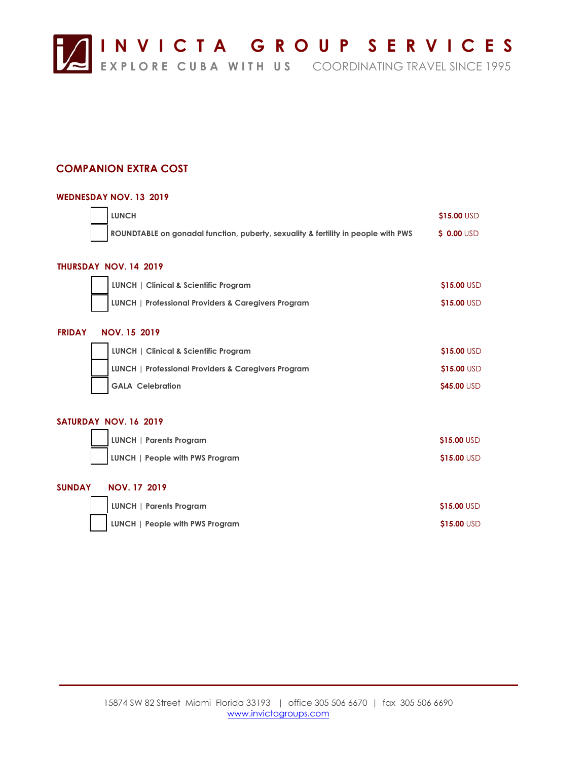

## **COMPANION EXTRA COST**

## **WEDNESDAY NOV. 13 2019**

|                       | <b>LUNCH</b>                                                                      | \$15.00 USD |  |  |
|-----------------------|-----------------------------------------------------------------------------------|-------------|--|--|
|                       | ROUNDTABLE on gonadal function, puberty, sexuality & fertility in people with PWS | \$ 0.00 USD |  |  |
|                       |                                                                                   |             |  |  |
|                       | THURSDAY NOV. 14 2019                                                             |             |  |  |
|                       | LUNCH   Clinical & Scientific Program                                             | \$15.00 USD |  |  |
|                       | LUNCH   Professional Providers & Caregivers Program                               | \$15.00 USD |  |  |
|                       |                                                                                   |             |  |  |
| <b>FRIDAY</b>         | <b>NOV. 15 2019</b>                                                               |             |  |  |
|                       | LUNCH   Clinical & Scientific Program                                             | \$15.00 USD |  |  |
|                       | LUNCH   Professional Providers & Caregivers Program                               | \$15.00 USD |  |  |
|                       | <b>GALA Celebration</b>                                                           | \$45.00 USD |  |  |
|                       |                                                                                   |             |  |  |
| SATURDAY NOV. 16 2019 |                                                                                   |             |  |  |
|                       | <b>LUNCH   Parents Program</b>                                                    | \$15.00 USD |  |  |
|                       | LUNCH   People with PWS Program                                                   | \$15.00 USD |  |  |
|                       |                                                                                   |             |  |  |
| <b>SUNDAY</b>         | <b>NOV. 17 2019</b>                                                               |             |  |  |
|                       | <b>LUNCH   Parents Program</b>                                                    | \$15.00 USD |  |  |
|                       | LUNCH   People with PWS Program                                                   | \$15.00 USD |  |  |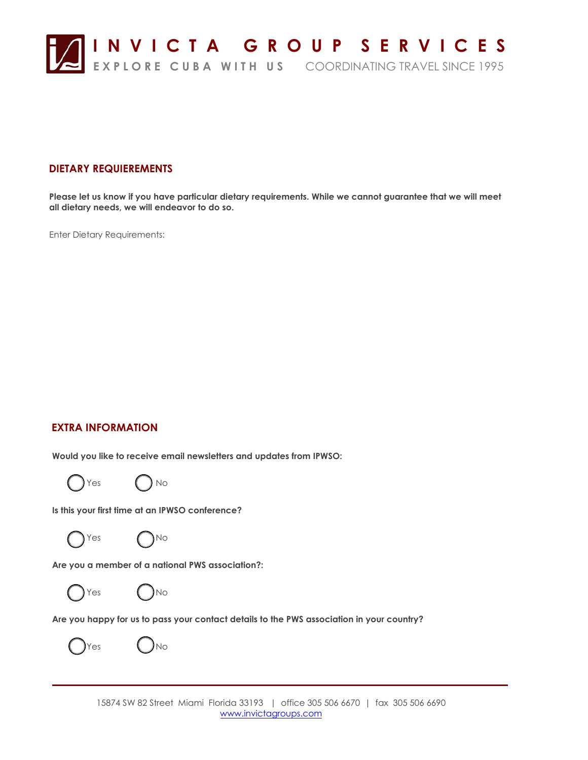

## **DIETARY REQUIEREMENTS**

**Please let us know if you have particular dietary requirements. While we cannot guarantee that we will meet all dietary needs, we will endeavor to do so.**

Enter Dietary Requirements:

## **EXTRA INFORMATION**

**Would you like to receive email newsletters and updates from IPWSO:**



**Is this your first time at an IPWSO conference?**



 $Yes$   $\bigcap_{\text{No}}$ 

**Are you a member of a national PWS association?:**





**Are you happy for us to pass your contact details to the PWS association in your country?**

*( )***Yes UNo**